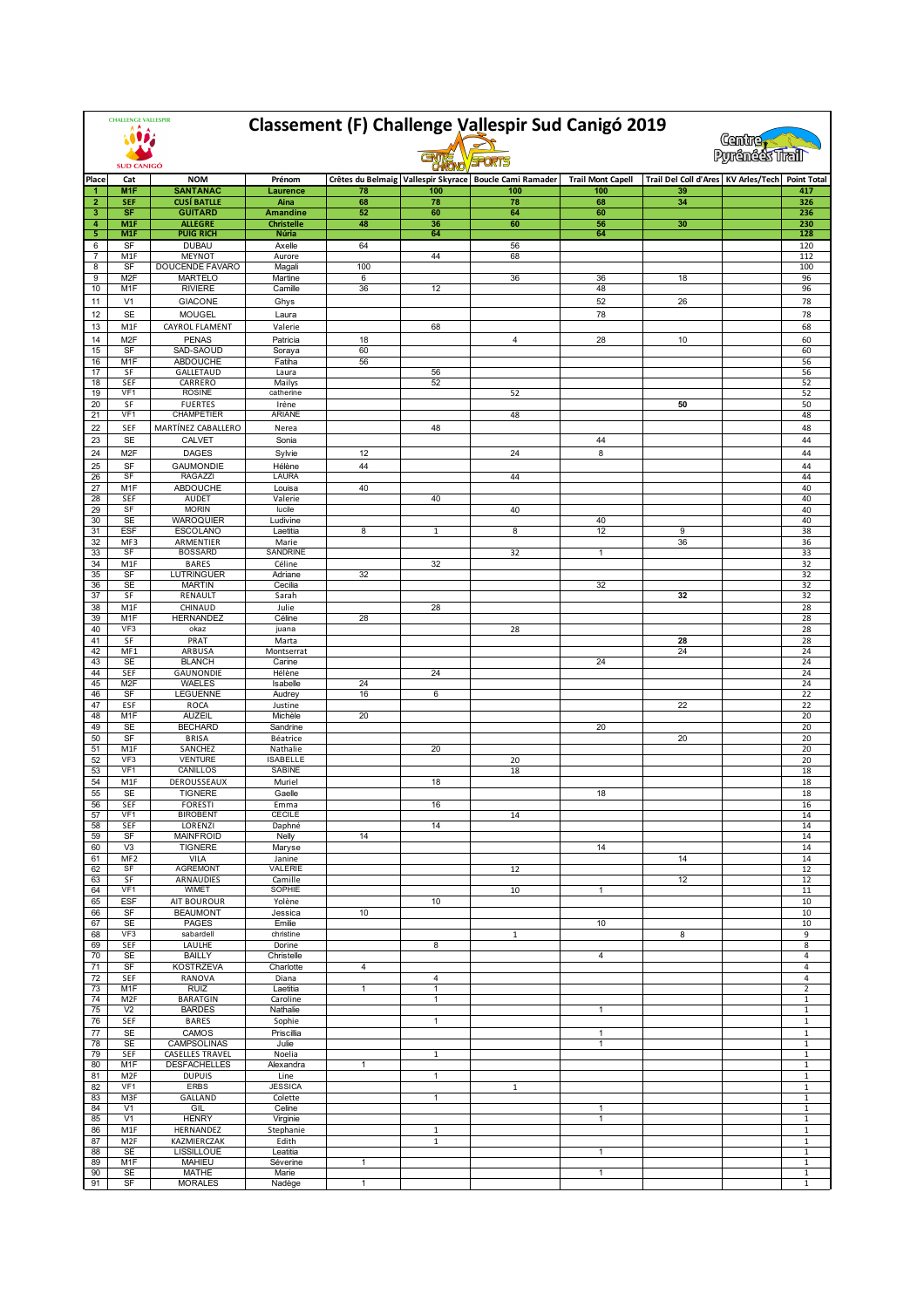| <b>CHALLENGE VALLESPIR</b> |                                |                                               | Classement (F) Challenge Vallespir Sud Canigó 2019<br><b>Centre</b><br>Pyrénéés Trail |                |              |                                                             |                          |                                                 |  |                                |  |
|----------------------------|--------------------------------|-----------------------------------------------|---------------------------------------------------------------------------------------|----------------|--------------|-------------------------------------------------------------|--------------------------|-------------------------------------------------|--|--------------------------------|--|
| <b>SUD CANIGÓ</b>          |                                |                                               |                                                                                       |                |              |                                                             |                          |                                                 |  |                                |  |
| Place                      | Cat                            | <b>NOM</b>                                    | Prénom                                                                                |                |              | Crêtes du Belmaig   Vallespir Skyrace   Boucle Cami Ramader | <b>Trail Mont Capell</b> | Trail Del Coll d'Ares KV Arles/Tech Point Total |  |                                |  |
| $\overline{2}$             | M <sub>1</sub> F<br><b>SEF</b> | <b>SANTANAC</b><br><b>CUSÍ BATLLE</b>         | Laurence<br>Aina                                                                      | 78<br>68       | 100<br>78    | 100<br>78                                                   | 100<br>68                | 39<br>34                                        |  | 417<br>326                     |  |
| 3                          | SF                             | <b>GUITARD</b>                                | <b>Amandine</b>                                                                       | 52             | 60           | 64                                                          | 60                       |                                                 |  | 236                            |  |
| 4                          | M1F                            | <b>ALLEGRE</b>                                | <b>Christelle</b>                                                                     | 48             | 36           | 60                                                          | 56                       | 30                                              |  | 230                            |  |
| 5                          | M <sub>1F</sub>                | <b>PUIG RICH</b>                              | Núria                                                                                 |                | 64           |                                                             | 64                       |                                                 |  | 128                            |  |
| 6<br>7                     | SF<br>M <sub>1</sub> F         | <b>DUBAU</b><br><b>MEYNOT</b>                 | Axelle<br>Aurore                                                                      | 64             | 44           | 56<br>68                                                    |                          |                                                 |  | 120<br>112                     |  |
| 8                          | SF                             | DOUCENDE FAVARO                               | Magali                                                                                | 100            |              |                                                             |                          |                                                 |  | 100                            |  |
| 9                          | M <sub>2F</sub>                | <b>MARTELO</b>                                | Martine                                                                               | 6              |              | 36                                                          | 36                       | 18                                              |  | 96                             |  |
| 10                         | M1F                            | <b>RIVIERE</b>                                | Camille                                                                               | 36             | 12           |                                                             | 48                       |                                                 |  | 96                             |  |
| 11                         | V1                             | <b>GIACONE</b>                                | Ghys                                                                                  |                |              |                                                             | 52                       | 26                                              |  | 78                             |  |
| 12<br>13                   | <b>SE</b><br>M1F               | <b>MOUGEL</b><br>CAYROL FLAMENT               | Laura                                                                                 |                | 68           |                                                             | 78                       |                                                 |  | 78<br>68                       |  |
| 14                         | M <sub>2F</sub>                | <b>PENAS</b>                                  | Valerie<br>Patricia                                                                   | 18             |              | 4                                                           | 28                       | 10                                              |  | 60                             |  |
| 15                         | SF                             | SAD-SAOUD                                     | Soraya                                                                                | 60             |              |                                                             |                          |                                                 |  | 60                             |  |
| 16                         | M1F                            | ABDOUCHE                                      | Fatiha                                                                                | 56             |              |                                                             |                          |                                                 |  | 56                             |  |
| 17                         | SF                             | <b>GALLETAUD</b>                              | Laura                                                                                 |                | 56           |                                                             |                          |                                                 |  | 56                             |  |
| 18<br>19                   | SEF<br>VF1                     | CARRERO<br><b>ROSINE</b>                      | Mailys<br>catherine                                                                   |                | 52           | 52                                                          |                          |                                                 |  | 52<br>52                       |  |
| 20                         | SF                             | <b>FUERTES</b>                                | Irène                                                                                 |                |              |                                                             |                          | 50                                              |  | 50                             |  |
| 21                         | VF <sub>1</sub>                | CHAMPETIER                                    | <b>ARIANE</b>                                                                         |                |              | 48                                                          |                          |                                                 |  | 48                             |  |
| 22                         | SEF                            | MARTÍNEZ CABALLERO                            | Nerea                                                                                 |                | 48           |                                                             |                          |                                                 |  | 48                             |  |
| 23                         | <b>SE</b>                      | <b>CALVET</b>                                 | Sonia                                                                                 |                |              |                                                             | 44                       |                                                 |  | 44                             |  |
| 24                         | M <sub>2</sub> F               | <b>DAGES</b>                                  | Sylvie                                                                                | 12             |              | 24                                                          | 8                        |                                                 |  | 44                             |  |
| 25<br>26                   | <b>SF</b><br>SF                | <b>GAUMONDIE</b><br><b>RAGAZZI</b>            | Hélène<br>LAURA                                                                       | 44             |              | 44                                                          |                          |                                                 |  | 44<br>44                       |  |
| 27                         | M <sub>1</sub> F               | ABDOUCHE                                      | Louisa                                                                                | 40             |              |                                                             |                          |                                                 |  | 40                             |  |
| 28                         | SEF                            | AUDET                                         | Valerie                                                                               |                | 40           |                                                             |                          |                                                 |  | 40                             |  |
| 29                         | SF                             | <b>MORIN</b>                                  | lucile                                                                                |                |              | 40                                                          |                          |                                                 |  | 40                             |  |
| 30<br>31                   | <b>SE</b><br><b>ESF</b>        | <b>WAROQUIER</b><br><b>ESCOLANO</b>           | Ludivine<br>Laetitia                                                                  | 8              | $\mathbf{1}$ | 8                                                           | 40<br>12                 | 9                                               |  | 40<br>38                       |  |
| 32                         | MF3                            | ARMENTIER                                     | Marie                                                                                 |                |              |                                                             |                          | 36                                              |  | 36                             |  |
| 33                         | SF                             | <b>BOSSARD</b>                                | SANDRINE                                                                              |                |              | 32                                                          | $\mathbf{1}$             |                                                 |  | 33                             |  |
| 34                         | M <sub>1</sub> F               | <b>BARES</b>                                  | Céline                                                                                |                | 32           |                                                             |                          |                                                 |  | 32                             |  |
| 35<br>36                   | SF<br><b>SE</b>                | <b>LUTRINGUER</b><br><b>MARTIN</b>            | Adriane<br>Cecilia                                                                    | 32             |              |                                                             | 32                       |                                                 |  | 32<br>32                       |  |
| 37                         | SF                             | RENAULT                                       | Sarah                                                                                 |                |              |                                                             |                          | 32                                              |  | 32                             |  |
| 38                         | M1F                            | CHINAUD                                       | Julie                                                                                 |                | 28           |                                                             |                          |                                                 |  | 28                             |  |
| 39                         | M <sub>1</sub> F<br>VF3        | <b>HERNANDEZ</b><br>okaz                      | Céline                                                                                | 28             |              |                                                             |                          |                                                 |  | 28                             |  |
| 40<br>41                   | SF                             | PRAT                                          | juana<br>Marta                                                                        |                |              | 28                                                          |                          | 28                                              |  | 28<br>28                       |  |
| 42                         | MF1                            | ARBUSA                                        | Montserrat                                                                            |                |              |                                                             |                          | 24                                              |  | 24                             |  |
| 43                         | <b>SE</b>                      | <b>BLANCH</b>                                 | Carine                                                                                |                |              |                                                             | 24                       |                                                 |  | 24                             |  |
| 44<br>45                   | SEF<br>M <sub>2</sub> F        | GAUNONDIE<br>WAELES                           | Hélène<br>Isabelle                                                                    | 24             | 24           |                                                             |                          |                                                 |  | 24<br>24                       |  |
| 46                         | SF                             | <b>LEGUENNE</b>                               | Audrey                                                                                | 16             | 6            |                                                             |                          |                                                 |  | 22                             |  |
| 47                         | ESF                            | <b>ROCA</b>                                   | Justine                                                                               |                |              |                                                             |                          | 22                                              |  | 22                             |  |
| 48                         | M <sub>1</sub> F               | <b>AUZEIL</b>                                 | Michèle                                                                               | 20             |              |                                                             |                          |                                                 |  | 20                             |  |
| 49<br>50                   | SE<br>SF                       | <b>BECHARD</b><br><b>BRISA</b>                | Sandrine<br>Béatrice                                                                  |                |              |                                                             | 20                       | 20                                              |  | 20<br>20                       |  |
| 51                         | M <sub>1F</sub>                | SANCHEZ                                       | Nathalie                                                                              |                | 20           |                                                             |                          |                                                 |  | 20                             |  |
| 52                         | VF <sub>3</sub>                | <b>VENTURE</b>                                | <b>ISABELLE</b>                                                                       |                |              | 20                                                          |                          |                                                 |  | 20                             |  |
| 53                         | VF1                            | CANILLOS                                      | SABINE                                                                                |                |              | 18                                                          |                          |                                                 |  | 18                             |  |
| 54<br>55                   | M1F<br><b>SE</b>               | DEROUSSEAUX<br><b>TIGNERE</b>                 | Muriel<br>Gaelle                                                                      |                | 18           |                                                             | 18                       |                                                 |  | 18<br>18                       |  |
| 56                         | SEF                            | <b>FORESTI</b>                                | Emma                                                                                  |                | 16           |                                                             |                          |                                                 |  | 16                             |  |
| 57                         | VF1                            | <b>BIROBENT</b>                               | CECILE                                                                                |                |              | 14                                                          |                          |                                                 |  | 14                             |  |
| 58                         | SEF                            | LORENZI                                       | Daphné                                                                                |                | 14           |                                                             |                          |                                                 |  | 14                             |  |
| 59<br>60                   | SF<br>V3                       | <b>MAINFROID</b><br><b>TIGNERE</b>            | Nelly<br>Maryse                                                                       | 14             |              |                                                             | 14                       |                                                 |  | 14<br>14                       |  |
| 61                         | MF <sub>2</sub>                | <b>VILA</b>                                   | Janine                                                                                |                |              |                                                             |                          | 14                                              |  | 14                             |  |
| 62                         | SF                             | <b>AGREMONT</b>                               | <b>VALERIE</b>                                                                        |                |              | 12                                                          |                          |                                                 |  | 12                             |  |
| 63                         | SF<br>VF <sub>1</sub>          | <b>ARNAUDIES</b><br><b>WIMET</b>              | Camille<br>SOPHIE                                                                     |                |              |                                                             |                          | 12                                              |  | 12                             |  |
| 64<br>65                   | <b>ESF</b>                     | <b>AIT BOUROUR</b>                            | Yolène                                                                                |                | 10           | 10                                                          | $\mathbf{1}$             |                                                 |  | 11<br>10                       |  |
| 66                         | SF                             | <b>BEAUMONT</b>                               | Jessica                                                                               | 10             |              |                                                             |                          |                                                 |  | 10                             |  |
| 67                         | <b>SE</b>                      | <b>PAGES</b>                                  | Emilie                                                                                |                |              |                                                             | 10                       |                                                 |  | 10                             |  |
| 68                         | VF3                            | sabardell                                     | christine                                                                             |                |              | $\mathbf{1}$                                                |                          | 8                                               |  | 9                              |  |
| 69<br>70                   | SEF<br><b>SE</b>               | <b>LAULHE</b><br><b>BAILLY</b>                | Dorine<br>Christelle                                                                  |                | 8            |                                                             | $\overline{4}$           |                                                 |  | 8<br>$\overline{\mathbf{4}}$   |  |
| 71                         | SF                             | <b>KOSTRZEVA</b>                              | Charlotte                                                                             | $\overline{4}$ |              |                                                             |                          |                                                 |  | $\overline{\mathbf{4}}$        |  |
| 72                         | SEF                            | RANOVA                                        | Diana                                                                                 |                | 4            |                                                             |                          |                                                 |  | 4                              |  |
| 73                         | M1F                            | <b>RUIZ</b>                                   | Laetitia                                                                              | $\mathbf{1}$   | 1            |                                                             |                          |                                                 |  | $\overline{\mathbf{c}}$        |  |
| 74<br>75                   | M2F<br>V <sub>2</sub>          | <b>BARATGIN</b><br><b>BARDES</b>              | Caroline<br>Nathalie                                                                  |                | 1            |                                                             | $\mathbf{1}$             |                                                 |  | $\mathbf{1}$<br>$\mathbf 1$    |  |
| 76                         | SEF                            | BARES                                         | Sophie                                                                                |                | 1            |                                                             |                          |                                                 |  | $\mathbf{1}$                   |  |
| 77                         | <b>SE</b>                      | CAMOS                                         | Priscillia                                                                            |                |              |                                                             | $\mathbf{1}$             |                                                 |  | $\,1\,$                        |  |
| 78                         | <b>SE</b>                      | CAMPSOLINAS                                   | Julie                                                                                 |                |              |                                                             | $\mathbf{1}$             |                                                 |  | $\mathbf 1$                    |  |
| 79<br>80                   | SEF<br>M1F                     | <b>CASELLES TRAVEL</b><br><b>DESFACHELLES</b> | Noelia<br>Alexandra                                                                   | $\mathbf{1}$   | $\mathbf{1}$ |                                                             |                          |                                                 |  | $\overline{1}$<br>$\mathbf{1}$ |  |
| 81                         | M <sub>2F</sub>                | <b>DUPUIS</b>                                 | Line                                                                                  |                | $\mathbf{1}$ |                                                             |                          |                                                 |  | $\mathbf 1$                    |  |
| 82                         | VF <sub>1</sub>                | <b>ERBS</b>                                   | <b>JESSICA</b>                                                                        |                |              | $\mathbf{1}$                                                |                          |                                                 |  | $\mathbf{1}$                   |  |
| 83                         | M3F                            | GALLAND                                       | Colette                                                                               |                | $\mathbf{1}$ |                                                             |                          |                                                 |  | $\mathbf{1}$                   |  |
| 84<br>85                   | V1<br>V1                       | GIL<br><b>HENRY</b>                           | Celine<br>Virginie                                                                    |                |              |                                                             | 1<br>$\mathbf{1}$        |                                                 |  | $\overline{1}$<br>$\mathbf 1$  |  |
| 86                         | M1F                            | HERNANDEZ                                     | Stephanie                                                                             |                | $\mathbf{1}$ |                                                             |                          |                                                 |  | $\mathbf{1}$                   |  |
| 87                         | M <sub>2F</sub>                | KAZMIERCZAK                                   | Edith                                                                                 |                | $\mathbf{1}$ |                                                             |                          |                                                 |  | $\mathbf{1}$                   |  |
| 88                         | <b>SE</b>                      | <b>LISSILLOUE</b>                             | Leatitia                                                                              |                |              |                                                             | $\mathbf{1}$             |                                                 |  | $\,1\,$                        |  |
| 89<br>90                   | M1F<br><b>SE</b>               | <b>MAHIEU</b><br><b>MATHE</b>                 | Séverine<br>Marie                                                                     | $\mathbf{1}$   |              |                                                             | $\mathbf{1}$             |                                                 |  | $\mathbf{1}$<br>$\mathbf{1}$   |  |
| 91                         | SF                             | <b>MORALES</b>                                | Nadège                                                                                | $\mathbf{1}$   |              |                                                             |                          |                                                 |  | $\,1\,$                        |  |